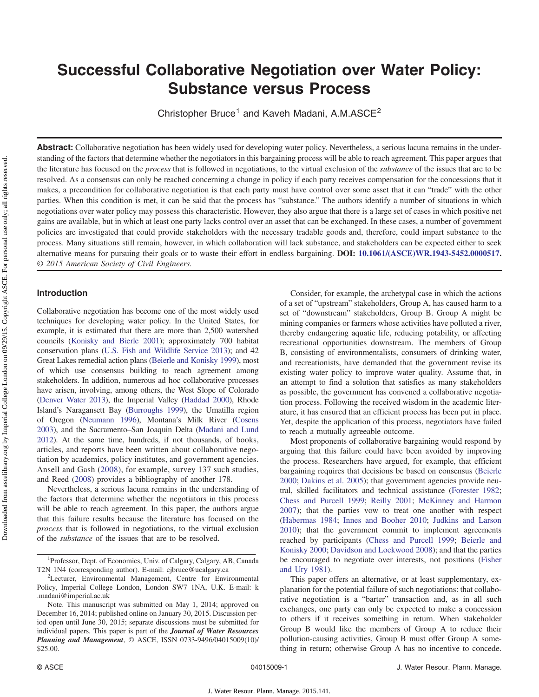# Successful Collaborative Negotiation over Water Policy: Substance versus Process

Christopher Bruce<sup>1</sup> and Kaveh Madani, A.M.ASCE<sup>2</sup>

Abstract: Collaborative negotiation has been widely used for developing water policy. Nevertheless, a serious lacuna remains in the understanding of the factors that determine whether the negotiators in this bargaining process will be able to reach agreement. This paper argues that the literature has focused on the *process* that is followed in negotiations, to the virtual exclusion of the *substance* of the issues that are to be resolved. As a consensus can only be reached concerning a change in policy if each party receives compensation for the concessions that it makes, a precondition for collaborative negotiation is that each party must have control over some asset that it can "trade" with the other parties. When this condition is met, it can be said that the process has "substance." The authors identify a number of situations in which negotiations over water policy may possess this characteristic. However, they also argue that there is a large set of cases in which positive net gains are available, but in which at least one party lacks control over an asset that can be exchanged. In these cases, a number of government policies are investigated that could provide stakeholders with the necessary tradable goods and, therefore, could impart substance to the process. Many situations still remain, however, in which collaboration will lack substance, and stakeholders can be expected either to seek alternative means for pursuing their goals or to waste their effort in endless bargaining. DOI: [10.1061/\(ASCE\)WR.1943-5452.0000517.](http://dx.doi.org/10.1061/(ASCE)WR.1943-5452.0000517) © 2015 American Society of Civil Engineers.

#### Introduction

Collaborative negotiation has become one of the most widely used techniques for developing water policy. In the United States, for example, it is estimated that there are more than 2,500 watershed councils ([Konisky and Bierle 2001](#page-8-0)); approximately 700 habitat conservation plans [\(U.S. Fish and Wildlife Service 2013](#page-8-1)); and 42 Great Lakes remedial action plans [\(Beierle and Konisky 1999](#page-8-2)), most of which use consensus building to reach agreement among stakeholders. In addition, numerous ad hoc collaborative processes have arisen, involving, among others, the West Slope of Colorado [\(Denver Water 2013\)](#page-8-3), the Imperial Valley [\(Haddad 2000\)](#page-8-4), Rhode Island's Naragansett Bay [\(Burroughs 1999](#page-8-5)), the Umatilla region of Oregon ([Neumann 1996](#page-9-0)), Montana's Milk River [\(Cosens](#page-8-6) [2003\)](#page-8-6), and the Sacramento–San Joaquin Delta [\(Madani and Lund](#page-8-7) [2012\)](#page-8-7). At the same time, hundreds, if not thousands, of books, articles, and reports have been written about collaborative negotiation by academics, policy institutes, and government agencies. Ansell and Gash [\(2008](#page-8-8)), for example, survey 137 such studies, and Reed ([2008\)](#page-9-1) provides a bibliography of another 178.

Nevertheless, a serious lacuna remains in the understanding of the factors that determine whether the negotiators in this process will be able to reach agreement. In this paper, the authors argue that this failure results because the literature has focused on the process that is followed in negotiations, to the virtual exclusion of the substance of the issues that are to be resolved.

Consider, for example, the archetypal case in which the actions of a set of "upstream" stakeholders, Group A, has caused harm to a set of "downstream" stakeholders, Group B. Group A might be mining companies or farmers whose activities have polluted a river, thereby endangering aquatic life, reducing potability, or affecting recreational opportunities downstream. The members of Group B, consisting of environmentalists, consumers of drinking water, and recreationists, have demanded that the government revise its existing water policy to improve water quality. Assume that, in an attempt to find a solution that satisfies as many stakeholders as possible, the government has convened a collaborative negotiation process. Following the received wisdom in the academic literature, it has ensured that an efficient process has been put in place. Yet, despite the application of this process, negotiators have failed to reach a mutually agreeable outcome.

Most proponents of collaborative bargaining would respond by arguing that this failure could have been avoided by improving the process. Researchers have argued, for example, that efficient bargaining requires that decisions be based on consensus ([Beierle](#page-8-9) [2000](#page-8-9); [Dakins et al. 2005\)](#page-8-10); that government agencies provide neutral, skilled facilitators and technical assistance [\(Forester 1982](#page-8-11); [Chess and Purcell 1999](#page-8-12); [Reilly 2001](#page-9-2); [McKinney and Harmon](#page-8-13) [2007](#page-8-13)); that the parties vow to treat one another with respect [\(Habermas 1984;](#page-8-14) [Innes and Booher 2010;](#page-8-15) [Judkins and Larson](#page-8-16) [2010](#page-8-16)); that the government commit to implement agreements reached by participants [\(Chess and Purcell 1999](#page-8-12); [Beierle and](#page-8-17) [Konisky 2000;](#page-8-17) [Davidson and Lockwood 2008\)](#page-8-18); and that the parties be encouraged to negotiate over interests, not positions ([Fisher](#page-8-19) [and Ury 1981](#page-8-19)).

This paper offers an alternative, or at least supplementary, explanation for the potential failure of such negotiations: that collaborative negotiation is a "barter" transaction and, as in all such exchanges, one party can only be expected to make a concession to others if it receives something in return. When stakeholder Group B would like the members of Group A to reduce their pollution-causing activities, Group B must offer Group A something in return; otherwise Group A has no incentive to concede.

<sup>&</sup>lt;sup>1</sup>Professor, Dept. of Economics, Univ. of Calgary, Calgary, AB, Canada T2N 1N4 (corresponding author). E-mail: cjbruce@ucalgary.ca <sup>2</sup>

<sup>&</sup>lt;sup>2</sup>Lecturer, Environmental Management, Centre for Environmental Policy, Imperial College London, London SW7 1NA, U.K. E-mail: k .madani@imperial.ac.uk

Note. This manuscript was submitted on May 1, 2014; approved on December 16, 2014; published online on January 30, 2015. Discussion period open until June 30, 2015; separate discussions must be submitted for individual papers. This paper is part of the Journal of Water Resources Planning and Management, © ASCE, ISSN 0733-9496/04015009(10)/ \$25.00.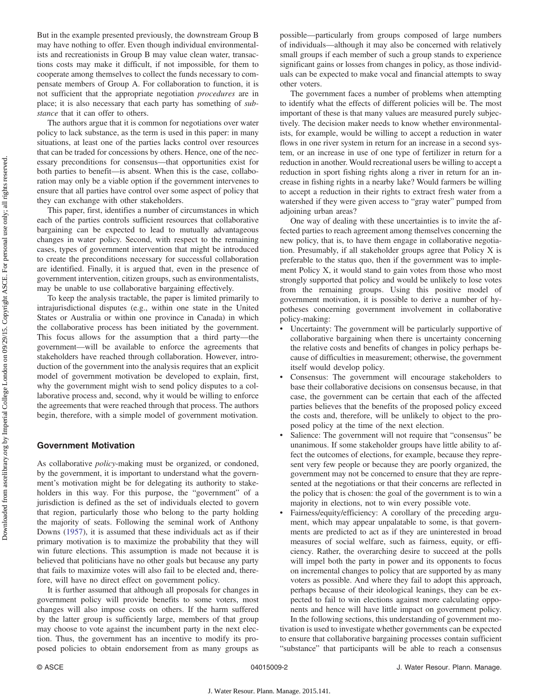But in the example presented previously, the downstream Group B may have nothing to offer. Even though individual environmentalists and recreationists in Group B may value clean water, transactions costs may make it difficult, if not impossible, for them to cooperate among themselves to collect the funds necessary to compensate members of Group A. For collaboration to function, it is not sufficient that the appropriate negotiation procedures are in place; it is also necessary that each party has something of substance that it can offer to others.

The authors argue that it is common for negotiations over water policy to lack substance, as the term is used in this paper: in many situations, at least one of the parties lacks control over resources that can be traded for concessions by others. Hence, one of the necessary preconditions for consensus—that opportunities exist for both parties to benefit—is absent. When this is the case, collaboration may only be a viable option if the government intervenes to ensure that all parties have control over some aspect of policy that they can exchange with other stakeholders.

This paper, first, identifies a number of circumstances in which each of the parties controls sufficient resources that collaborative bargaining can be expected to lead to mutually advantageous changes in water policy. Second, with respect to the remaining cases, types of government intervention that might be introduced to create the preconditions necessary for successful collaboration are identified. Finally, it is argued that, even in the presence of government intervention, citizen groups, such as environmentalists, may be unable to use collaborative bargaining effectively.

To keep the analysis tractable, the paper is limited primarily to intrajurisdictional disputes (e.g., within one state in the United States or Australia or within one province in Canada) in which the collaborative process has been initiated by the government. This focus allows for the assumption that a third party—the government—will be available to enforce the agreements that stakeholders have reached through collaboration. However, introduction of the government into the analysis requires that an explicit model of government motivation be developed to explain, first, why the government might wish to send policy disputes to a collaborative process and, second, why it would be willing to enforce the agreements that were reached through that process. The authors begin, therefore, with a simple model of government motivation.

# Government Motivation

As collaborative *policy*-making must be organized, or condoned, by the government, it is important to understand what the government's motivation might be for delegating its authority to stakeholders in this way. For this purpose, the "government" of a jurisdiction is defined as the set of individuals elected to govern that region, particularly those who belong to the party holding the majority of seats. Following the seminal work of Anthony Downs [\(1957](#page-8-20)), it is assumed that these individuals act as if their primary motivation is to maximize the probability that they will win future elections. This assumption is made not because it is believed that politicians have no other goals but because any party that fails to maximize votes will also fail to be elected and, therefore, will have no direct effect on government policy.

It is further assumed that although all proposals for changes in government policy will provide benefits to some voters, most changes will also impose costs on others. If the harm suffered by the latter group is sufficiently large, members of that group may choose to vote against the incumbent party in the next election. Thus, the government has an incentive to modify its proposed policies to obtain endorsement from as many groups as possible—particularly from groups composed of large numbers of individuals—although it may also be concerned with relatively small groups if each member of such a group stands to experience significant gains or losses from changes in policy, as those individuals can be expected to make vocal and financial attempts to sway other voters.

The government faces a number of problems when attempting to identify what the effects of different policies will be. The most important of these is that many values are measured purely subjectively. The decision maker needs to know whether environmentalists, for example, would be willing to accept a reduction in water flows in one river system in return for an increase in a second system, or an increase in use of one type of fertilizer in return for a reduction in another. Would recreational users be willing to accept a reduction in sport fishing rights along a river in return for an increase in fishing rights in a nearby lake? Would farmers be willing to accept a reduction in their rights to extract fresh water from a watershed if they were given access to "gray water" pumped from adjoining urban areas?

One way of dealing with these uncertainties is to invite the affected parties to reach agreement among themselves concerning the new policy, that is, to have them engage in collaborative negotiation. Presumably, if all stakeholder groups agree that Policy X is preferable to the status quo, then if the government was to implement Policy X, it would stand to gain votes from those who most strongly supported that policy and would be unlikely to lose votes from the remaining groups. Using this positive model of government motivation, it is possible to derive a number of hypotheses concerning government involvement in collaborative policy-making:

- Uncertainty: The government will be particularly supportive of collaborative bargaining when there is uncertainty concerning the relative costs and benefits of changes in policy perhaps because of difficulties in measurement; otherwise, the government itself would develop policy.
- Consensus: The government will encourage stakeholders to base their collaborative decisions on consensus because, in that case, the government can be certain that each of the affected parties believes that the benefits of the proposed policy exceed the costs and, therefore, will be unlikely to object to the proposed policy at the time of the next election.
- Salience: The government will not require that "consensus" be unanimous. If some stakeholder groups have little ability to affect the outcomes of elections, for example, because they represent very few people or because they are poorly organized, the government may not be concerned to ensure that they are represented at the negotiations or that their concerns are reflected in the policy that is chosen: the goal of the government is to win a majority in elections, not to win every possible vote.
- Fairness/equity/efficiency: A corollary of the preceding argument, which may appear unpalatable to some, is that governments are predicted to act as if they are uninterested in broad measures of social welfare, such as fairness, equity, or efficiency. Rather, the overarching desire to succeed at the polls will impel both the party in power and its opponents to focus on incremental changes to policy that are supported by as many voters as possible. And where they fail to adopt this approach, perhaps because of their ideological leanings, they can be expected to fail to win elections against more calculating opponents and hence will have little impact on government policy. In the following sections, this understanding of government motivation is used to investigate whether governments can be expected

to ensure that collaborative bargaining processes contain sufficient "substance" that participants will be able to reach a consensus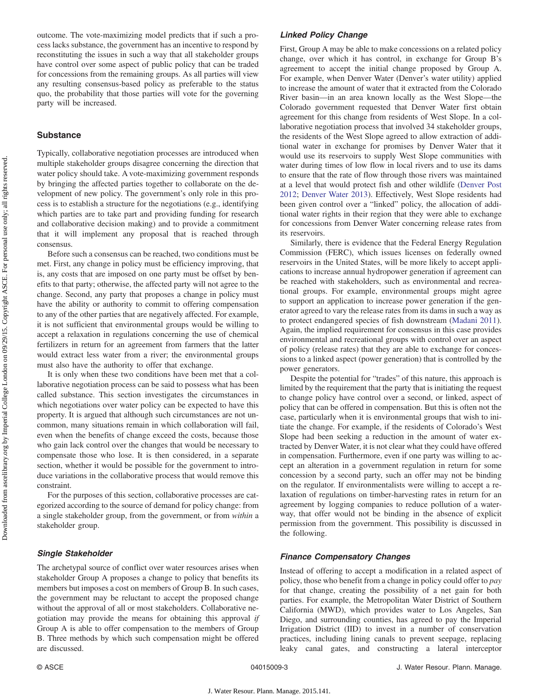outcome. The vote-maximizing model predicts that if such a process lacks substance, the government has an incentive to respond by reconstituting the issues in such a way that all stakeholder groups have control over some aspect of public policy that can be traded for concessions from the remaining groups. As all parties will view any resulting consensus-based policy as preferable to the status quo, the probability that those parties will vote for the governing party will be increased.

# **Substance**

Typically, collaborative negotiation processes are introduced when multiple stakeholder groups disagree concerning the direction that water policy should take. A vote-maximizing government responds by bringing the affected parties together to collaborate on the development of new policy. The government's only role in this process is to establish a structure for the negotiations (e.g., identifying which parties are to take part and providing funding for research and collaborative decision making) and to provide a commitment that it will implement any proposal that is reached through consensus.

Before such a consensus can be reached, two conditions must be met. First, any change in policy must be efficiency improving, that is, any costs that are imposed on one party must be offset by benefits to that party; otherwise, the affected party will not agree to the change. Second, any party that proposes a change in policy must have the ability or authority to commit to offering compensation to any of the other parties that are negatively affected. For example, it is not sufficient that environmental groups would be willing to accept a relaxation in regulations concerning the use of chemical fertilizers in return for an agreement from farmers that the latter would extract less water from a river; the environmental groups must also have the authority to offer that exchange.

It is only when these two conditions have been met that a collaborative negotiation process can be said to possess what has been called substance. This section investigates the circumstances in which negotiations over water policy can be expected to have this property. It is argued that although such circumstances are not uncommon, many situations remain in which collaboration will fail, even when the benefits of change exceed the costs, because those who gain lack control over the changes that would be necessary to compensate those who lose. It is then considered, in a separate section, whether it would be possible for the government to introduce variations in the collaborative process that would remove this constraint.

For the purposes of this section, collaborative processes are categorized according to the source of demand for policy change: from a single stakeholder group, from the government, or from within a stakeholder group.

## Single Stakeholder

The archetypal source of conflict over water resources arises when stakeholder Group A proposes a change to policy that benefits its members but imposes a cost on members of Group B. In such cases, the government may be reluctant to accept the proposed change without the approval of all or most stakeholders. Collaborative negotiation may provide the means for obtaining this approval if Group A is able to offer compensation to the members of Group B. Three methods by which such compensation might be offered are discussed.

## Linked Policy Change

First, Group A may be able to make concessions on a related policy change, over which it has control, in exchange for Group B's agreement to accept the initial change proposed by Group A. For example, when Denver Water (Denver's water utility) applied to increase the amount of water that it extracted from the Colorado River basin—in an area known locally as the West Slope—the Colorado government requested that Denver Water first obtain agreement for this change from residents of West Slope. In a collaborative negotiation process that involved 34 stakeholder groups, the residents of the West Slope agreed to allow extraction of additional water in exchange for promises by Denver Water that it would use its reservoirs to supply West Slope communities with water during times of low flow in local rivers and to use its dams to ensure that the rate of flow through those rivers was maintained at a level that would protect fish and other wildlife [\(Denver Post](#page-8-21) [2012](#page-8-21); [Denver Water 2013](#page-8-3)). Effectively, West Slope residents had been given control over a "linked" policy, the allocation of additional water rights in their region that they were able to exchange for concessions from Denver Water concerning release rates from its reservoirs.

Similarly, there is evidence that the Federal Energy Regulation Commission (FERC), which issues licenses on federally owned reservoirs in the United States, will be more likely to accept applications to increase annual hydropower generation if agreement can be reached with stakeholders, such as environmental and recreational groups. For example, environmental groups might agree to support an application to increase power generation if the generator agreed to vary the release rates from its dams in such a way as to protect endangered species of fish downstream ([Madani 2011\)](#page-8-22). Again, the implied requirement for consensus in this case provides environmental and recreational groups with control over an aspect of policy (release rates) that they are able to exchange for concessions to a linked aspect (power generation) that is controlled by the power generators.

Despite the potential for "trades" of this nature, this approach is limited by the requirement that the party that is initiating the request to change policy have control over a second, or linked, aspect of policy that can be offered in compensation. But this is often not the case, particularly when it is environmental groups that wish to initiate the change. For example, if the residents of Colorado's West Slope had been seeking a reduction in the amount of water extracted by Denver Water, it is not clear what they could have offered in compensation. Furthermore, even if one party was willing to accept an alteration in a government regulation in return for some concession by a second party, such an offer may not be binding on the regulator. If environmentalists were willing to accept a relaxation of regulations on timber-harvesting rates in return for an agreement by logging companies to reduce pollution of a waterway, that offer would not be binding in the absence of explicit permission from the government. This possibility is discussed in the following.

#### Finance Compensatory Changes

Instead of offering to accept a modification in a related aspect of policy, those who benefit from a change in policy could offer to pay for that change, creating the possibility of a net gain for both parties. For example, the Metropolitan Water District of Southern California (MWD), which provides water to Los Angeles, San Diego, and surrounding counties, has agreed to pay the Imperial Irrigation District (IID) to invest in a number of conservation practices, including lining canals to prevent seepage, replacing leaky canal gates, and constructing a lateral interceptor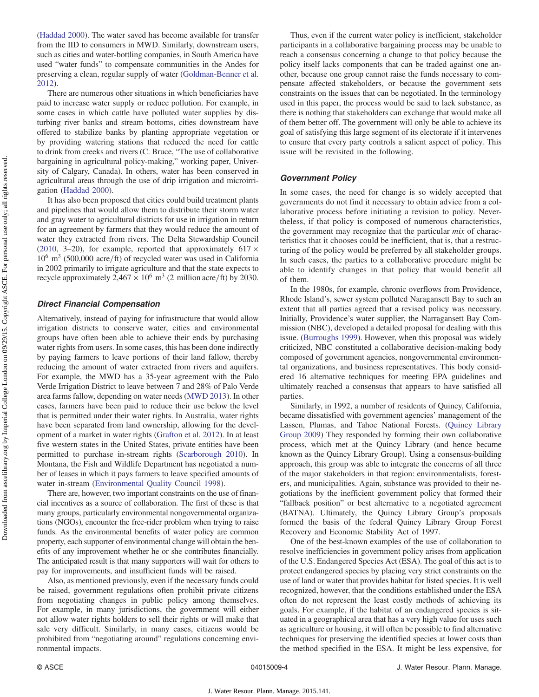[\(Haddad 2000](#page-8-4)). The water saved has become available for transfer from the IID to consumers in MWD. Similarly, downstream users, such as cities and water-bottling companies, in South America have used "water funds" to compensate communities in the Andes for preserving a clean, regular supply of water ([Goldman-Benner et al.](#page-8-23) [2012](#page-8-23)).

There are numerous other situations in which beneficiaries have paid to increase water supply or reduce pollution. For example, in some cases in which cattle have polluted water supplies by disturbing river banks and stream bottoms, cities downstream have offered to stabilize banks by planting appropriate vegetation or by providing watering stations that reduced the need for cattle to drink from creeks and rivers (C. Bruce, "The use of collaborative bargaining in agricultural policy-making," working paper, University of Calgary, Canada). In others, water has been conserved in agricultural areas through the use of drip irrigation and microirrigation ([Haddad 2000\)](#page-8-4).

It has also been proposed that cities could build treatment plants and pipelines that would allow them to distribute their storm water and gray water to agricultural districts for use in irrigation in return for an agreement by farmers that they would reduce the amount of water they extracted from rivers. The Delta Stewardship Council [\(2010](#page-8-24), 3–20), for example, reported that approximately  $617 \times$  $10^6$  m<sup>3</sup> (500,000 acre/ft) of recycled water was used in California in 2002 primarily to irrigate agriculture and that the state expects to recycle approximately  $2,467 \times 10^6$  m<sup>3</sup> (2 million acre/ft) by 2030.

#### Direct Financial Compensation

Alternatively, instead of paying for infrastructure that would allow irrigation districts to conserve water, cities and environmental groups have often been able to achieve their ends by purchasing water rights from users. In some cases, this has been done indirectly by paying farmers to leave portions of their land fallow, thereby reducing the amount of water extracted from rivers and aquifers. For example, the MWD has a 35-year agreement with the Palo Verde Irrigation District to leave between 7 and 28% of Palo Verde area farms fallow, depending on water needs [\(MWD 2013\)](#page-8-25). In other cases, farmers have been paid to reduce their use below the level that is permitted under their water rights. In Australia, water rights have been separated from land ownership, allowing for the development of a market in water rights [\(Grafton et al. 2012\)](#page-8-26). In at least five western states in the United States, private entities have been permitted to purchase in-stream rights ([Scarborough 2010\)](#page-9-3). In Montana, the Fish and Wildlife Department has negotiated a number of leases in which it pays farmers to leave specified amounts of water in-stream ([Environmental Quality Council 1998\)](#page-8-27).

There are, however, two important constraints on the use of financial incentives as a source of collaboration. The first of these is that many groups, particularly environmental nongovernmental organizations (NGOs), encounter the free-rider problem when trying to raise funds. As the environmental benefits of water policy are common property, each supporter of environmental change will obtain the benefits of any improvement whether he or she contributes financially. The anticipated result is that many supporters will wait for others to pay for improvements, and insufficient funds will be raised.

Also, as mentioned previously, even if the necessary funds could be raised, government regulations often prohibit private citizens from negotiating changes in public policy among themselves. For example, in many jurisdictions, the government will either not allow water rights holders to sell their rights or will make that sale very difficult. Similarly, in many cases, citizens would be prohibited from "negotiating around" regulations concerning environmental impacts.

Thus, even if the current water policy is inefficient, stakeholder participants in a collaborative bargaining process may be unable to reach a consensus concerning a change to that policy because the policy itself lacks components that can be traded against one another, because one group cannot raise the funds necessary to compensate affected stakeholders, or because the government sets constraints on the issues that can be negotiated. In the terminology used in this paper, the process would be said to lack substance, as there is nothing that stakeholders can exchange that would make all of them better off. The government will only be able to achieve its goal of satisfying this large segment of its electorate if it intervenes to ensure that every party controls a salient aspect of policy. This issue will be revisited in the following.

#### Government Policy

In some cases, the need for change is so widely accepted that governments do not find it necessary to obtain advice from a collaborative process before initiating a revision to policy. Nevertheless, if that policy is composed of numerous characteristics, the government may recognize that the particular mix of characteristics that it chooses could be inefficient, that is, that a restructuring of the policy would be preferred by all stakeholder groups. In such cases, the parties to a collaborative procedure might be able to identify changes in that policy that would benefit all of them.

In the 1980s, for example, chronic overflows from Providence, Rhode Island's, sewer system polluted Naragansett Bay to such an extent that all parties agreed that a revised policy was necessary. Initially, Providence's water supplier, the Narragansett Bay Commission (NBC), developed a detailed proposal for dealing with this issue. ([Burroughs 1999](#page-8-5)). However, when this proposal was widely criticized, NBC constituted a collaborative decision-making body composed of government agencies, nongovernmental environmental organizations, and business representatives. This body considered 16 alternative techniques for meeting EPA guidelines and ultimately reached a consensus that appears to have satisfied all parties.

Similarly, in 1992, a number of residents of Quincy, California, became dissatisfied with government agencies' management of the Lassen, Plumas, and Tahoe National Forests. ([Quincy Library](#page-9-4) [Group 2009](#page-9-4)) They responded by forming their own collaborative process, which met at the Quincy Library (and hence became known as the Quincy Library Group). Using a consensus-building approach, this group was able to integrate the concerns of all three of the major stakeholders in that region: environmentalists, foresters, and municipalities. Again, substance was provided to their negotiations by the inefficient government policy that formed their "fallback position" or best alternative to a negotiated agreement (BATNA). Ultimately, the Quincy Library Group's proposals formed the basis of the federal Quincy Library Group Forest Recovery and Economic Stability Act of 1997.

One of the best-known examples of the use of collaboration to resolve inefficiencies in government policy arises from application of the U.S. Endangered Species Act (ESA). The goal of this act is to protect endangered species by placing very strict constraints on the use of land or water that provides habitat for listed species. It is well recognized, however, that the conditions established under the ESA often do not represent the least costly methods of achieving its goals. For example, if the habitat of an endangered species is situated in a geographical area that has a very high value for uses such as agriculture or housing, it will often be possible to find alternative techniques for preserving the identified species at lower costs than the method specified in the ESA. It might be less expensive, for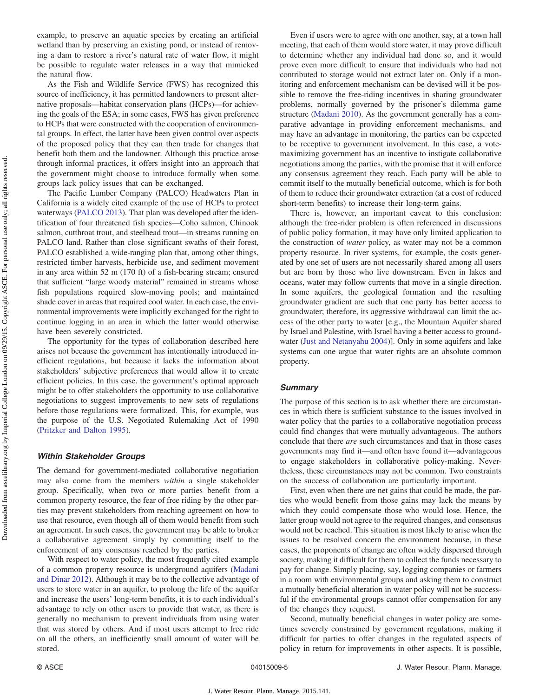example, to preserve an aquatic species by creating an artificial wetland than by preserving an existing pond, or instead of removing a dam to restore a river's natural rate of water flow, it might be possible to regulate water releases in a way that mimicked the natural flow.

As the Fish and Wildlife Service (FWS) has recognized this source of inefficiency, it has permitted landowners to present alternative proposals—habitat conservation plans (HCPs)—for achieving the goals of the ESA; in some cases, FWS has given preference to HCPs that were constructed with the cooperation of environmental groups. In effect, the latter have been given control over aspects of the proposed policy that they can then trade for changes that benefit both them and the landowner. Although this practice arose through informal practices, it offers insight into an approach that the government might choose to introduce formally when some groups lack policy issues that can be exchanged.

The Pacific Lumber Company (PALCO) Headwaters Plan in California is a widely cited example of the use of HCPs to protect waterways [\(PALCO 2013\)](#page-9-5). That plan was developed after the identification of four threatened fish species—Coho salmon, Chinook salmon, cutthroat trout, and steelhead trout—in streams running on PALCO land. Rather than close significant swaths of their forest, PALCO established a wide-ranging plan that, among other things, restricted timber harvests, herbicide use, and sediment movement in any area within 52 m (170 ft) of a fish-bearing stream; ensured that sufficient "large woody material" remained in streams whose fish populations required slow-moving pools; and maintained shade cover in areas that required cool water. In each case, the environmental improvements were implicitly exchanged for the right to continue logging in an area in which the latter would otherwise have been severely constricted.

The opportunity for the types of collaboration described here arises not because the government has intentionally introduced inefficient regulations, but because it lacks the information about stakeholders' subjective preferences that would allow it to create efficient policies. In this case, the government's optimal approach might be to offer stakeholders the opportunity to use collaborative negotiations to suggest improvements to new sets of regulations before those regulations were formalized. This, for example, was the purpose of the U.S. Negotiated Rulemaking Act of 1990 [\(Pritzker and Dalton 1995](#page-9-6)).

#### Within Stakeholder Groups

The demand for government-mediated collaborative negotiation may also come from the members within a single stakeholder group. Specifically, when two or more parties benefit from a common property resource, the fear of free riding by the other parties may prevent stakeholders from reaching agreement on how to use that resource, even though all of them would benefit from such an agreement. In such cases, the government may be able to broker a collaborative agreement simply by committing itself to the enforcement of any consensus reached by the parties.

With respect to water policy, the most frequently cited example of a common property resource is underground aquifers [\(Madani](#page-8-28) [and Dinar 2012\)](#page-8-28). Although it may be to the collective advantage of users to store water in an aquifer, to prolong the life of the aquifer and increase the users' long-term benefits, it is to each individual's advantage to rely on other users to provide that water, as there is generally no mechanism to prevent individuals from using water that was stored by others. And if most users attempt to free ride on all the others, an inefficiently small amount of water will be stored.

Even if users were to agree with one another, say, at a town hall meeting, that each of them would store water, it may prove difficult to determine whether any individual had done so, and it would prove even more difficult to ensure that individuals who had not contributed to storage would not extract later on. Only if a monitoring and enforcement mechanism can be devised will it be possible to remove the free-riding incentives in sharing groundwater problems, normally governed by the prisoner's dilemma game structure ([Madani 2010](#page-8-29)). As the government generally has a comparative advantage in providing enforcement mechanisms, and may have an advantage in monitoring, the parties can be expected to be receptive to government involvement. In this case, a votemaximizing government has an incentive to instigate collaborative negotiations among the parties, with the promise that it will enforce any consensus agreement they reach. Each party will be able to commit itself to the mutually beneficial outcome, which is for both of them to reduce their groundwater extraction (at a cost of reduced short-term benefits) to increase their long-term gains.

There is, however, an important caveat to this conclusion: although the free-rider problem is often referenced in discussions of public policy formation, it may have only limited application to the construction of water policy, as water may not be a common property resource. In river systems, for example, the costs generated by one set of users are not necessarily shared among all users but are born by those who live downstream. Even in lakes and oceans, water may follow currents that move in a single direction. In some aquifers, the geological formation and the resulting groundwater gradient are such that one party has better access to groundwater; therefore, its aggressive withdrawal can limit the access of the other party to water [e.g., the Mountain Aquifer shared by Israel and Palestine, with Israel having a better access to groundwater [\(Just and Netanyahu 2004](#page-8-30))]. Only in some aquifers and lake systems can one argue that water rights are an absolute common property.

#### **Summary**

The purpose of this section is to ask whether there are circumstances in which there is sufficient substance to the issues involved in water policy that the parties to a collaborative negotiation process could find changes that were mutually advantageous. The authors conclude that there are such circumstances and that in those cases governments may find it—and often have found it—advantageous to engage stakeholders in collaborative policy-making. Nevertheless, these circumstances may not be common. Two constraints on the success of collaboration are particularly important.

First, even when there are net gains that could be made, the parties who would benefit from those gains may lack the means by which they could compensate those who would lose. Hence, the latter group would not agree to the required changes, and consensus would not be reached. This situation is most likely to arise when the issues to be resolved concern the environment because, in these cases, the proponents of change are often widely dispersed through society, making it difficult for them to collect the funds necessary to pay for change. Simply placing, say, logging companies or farmers in a room with environmental groups and asking them to construct a mutually beneficial alteration in water policy will not be successful if the environmental groups cannot offer compensation for any of the changes they request.

Second, mutually beneficial changes in water policy are sometimes severely constrained by government regulations, making it difficult for parties to offer changes in the regulated aspects of policy in return for improvements in other aspects. It is possible,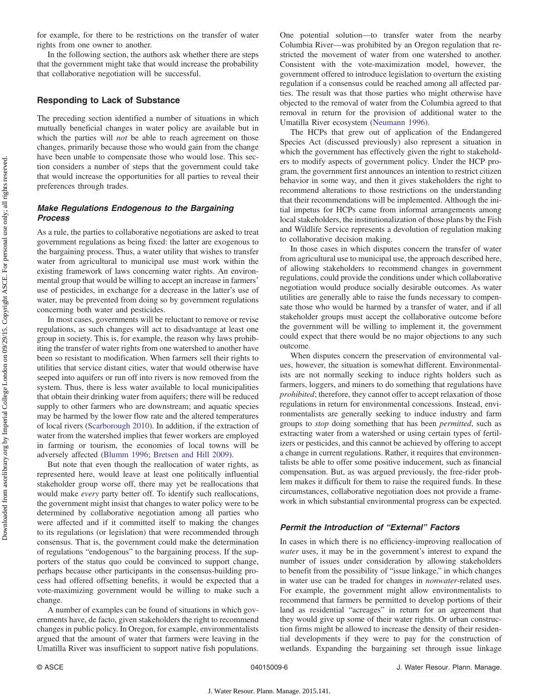for example, for there to be restrictions on the transfer of water rights from one owner to another.

In the following section, the authors ask whether there are steps that the government might take that would increase the probability that collaborative negotiation will be successful.

# Responding to Lack of Substance

The preceding section identified a number of situations in which mutually beneficial changes in water policy are available but in which the parties will *not* be able to reach agreement on those changes, primarily because those who would gain from the change have been unable to compensate those who would lose. This section considers a number of steps that the government could take that would increase the opportunities for all parties to reveal their preferences through trades.

# Make Regulations Endogenous to the Bargaining Process

As a rule, the parties to collaborative negotiations are asked to treat government regulations as being fixed: the latter are exogenous to the bargaining process. Thus, a water utility that wishes to transfer water from agricultural to municipal use must work within the existing framework of laws concerning water rights. An environmental group that would be willing to accept an increase in farmers' use of pesticides, in exchange for a decrease in the latter's use of water, may be prevented from doing so by government regulations concerning both water and pesticides.

In most cases, governments will be reluctant to remove or revise regulations, as such changes will act to disadvantage at least one group in society. This is, for example, the reason why laws prohibiting the transfer of water rights from one watershed to another have been so resistant to modification. When farmers sell their rights to utilities that service distant cities, water that would otherwise have seeped into aquifers or run off into rivers is now removed from the system. Thus, there is less water available to local municipalities that obtain their drinking water from aquifers; there will be reduced supply to other farmers who are downstream; and aquatic species may be harmed by the lower flow rate and the altered temperatures of local rivers ([Scarborough 2010\)](#page-9-3). In addition, if the extraction of water from the watershed implies that fewer workers are employed in farming or tourism, the economies of local towns will be adversely affected ([Blumm 1996](#page-8-31); [Bretsen and Hill 2009](#page-8-32)).

But note that even though the reallocation of water rights, as represented here, would leave at least one politically influential stakeholder group worse off, there may yet be reallocations that would make every party better off. To identify such reallocations, the government might insist that changes to water policy were to be determined by collaborative negotiation among all parties who were affected and if it committed itself to making the changes to its regulations (or legislation) that were recommended through consensus. That is, the government could make the determination of regulations "endogenous" to the bargaining process. If the supporters of the status quo could be convinced to support change, perhaps because other participants in the consensus-building process had offered offsetting benefits, it would be expected that a vote-maximizing government would be willing to make such a change.

A number of examples can be found of situations in which governments have, de facto, given stakeholders the right to recommend changes in public policy. In Oregon, for example, environmentalists argued that the amount of water that farmers were leaving in the Umatilla River was insufficient to support native fish populations. One potential solution—to transfer water from the nearby Columbia River—was prohibited by an Oregon regulation that restricted the movement of water from one watershed to another. Consistent with the vote-maximization model, however, the government offered to introduce legislation to overturn the existing regulation if a consensus could be reached among all affected parties. The result was that those parties who might otherwise have objected to the removal of water from the Columbia agreed to that removal in return for the provision of additional water to the Umatilla River ecosystem ([Neumann 1996\)](#page-9-0).

The HCPs that grew out of application of the Endangered Species Act (discussed previously) also represent a situation in which the government has effectively given the right to stakeholders to modify aspects of government policy. Under the HCP program, the government first announces an intention to restrict citizen behavior in some way, and then it gives stakeholders the right to recommend alterations to those restrictions on the understanding that their recommendations will be implemented. Although the initial impetus for HCPs came from informal arrangements among local stakeholders, the institutionalization of those plans by the Fish and Wildlife Service represents a devolution of regulation making to collaborative decision making.

In those cases in which disputes concern the transfer of water from agricultural use to municipal use, the approach described here, of allowing stakeholders to recommend changes in government regulations, could provide the conditions under which collaborative negotiation would produce socially desirable outcomes. As water utilities are generally able to raise the funds necessary to compensate those who would be harmed by a transfer of water, and if all stakeholder groups must accept the collaborative outcome before the government will be willing to implement it, the government could expect that there would be no major objections to any such outcome.

When disputes concern the preservation of environmental values, however, the situation is somewhat different. Environmentalists are not normally seeking to induce rights holders such as farmers, loggers, and miners to do something that regulations have prohibited; therefore, they cannot offer to accept relaxation of those regulations in return for environmental concessions. Instead, environmentalists are generally seeking to induce industry and farm groups to stop doing something that has been permitted, such as extracting water from a watershed or using certain types of fertilizers or pesticides, and this cannot be achieved by offering to accept a change in current regulations. Rather, it requires that environmentalists be able to offer some positive inducement, such as financial compensation. But, as was argued previously, the free-rider problem makes it difficult for them to raise the required funds. In these circumstances, collaborative negotiation does not provide a framework in which substantial environmental progress can be expected.

# Permit the Introduction of "External" Factors

In cases in which there is no efficiency-improving reallocation of water uses, it may be in the government's interest to expand the number of issues under consideration by allowing stakeholders to benefit from the possibility of "issue linkage," in which changes in water use can be traded for changes in nonwater-related uses. For example, the government might allow environmentalists to recommend that farmers be permitted to develop portions of their land as residential "acreages" in return for an agreement that they would give up some of their water rights. Or urban construction firms might be allowed to increase the density of their residential developments if they were to pay for the construction of wetlands. Expanding the bargaining set through issue linkage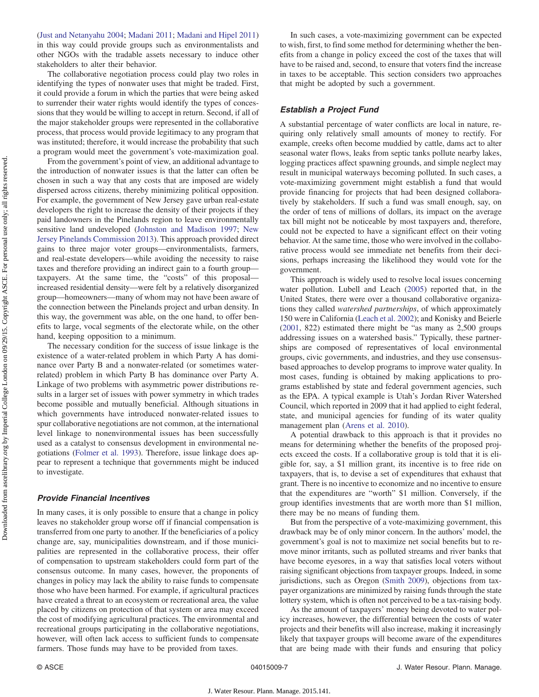[\(Just and Netanyahu 2004;](#page-8-30) [Madani 2011](#page-8-22); [Madani and Hipel 2011\)](#page-8-33) in this way could provide groups such as environmentalists and other NGOs with the tradable assets necessary to induce other stakeholders to alter their behavior.

The collaborative negotiation process could play two roles in identifying the types of nonwater uses that might be traded. First, it could provide a forum in which the parties that were being asked to surrender their water rights would identify the types of concessions that they would be willing to accept in return. Second, if all of the major stakeholder groups were represented in the collaborative process, that process would provide legitimacy to any program that was instituted; therefore, it would increase the probability that such a program would meet the government's vote-maximization goal.

From the government's point of view, an additional advantage to the introduction of nonwater issues is that the latter can often be chosen in such a way that any costs that are imposed are widely dispersed across citizens, thereby minimizing political opposition. For example, the government of New Jersey gave urban real-estate developers the right to increase the density of their projects if they paid landowners in the Pinelands region to leave environmentally sensitive land undeveloped ([Johnston and Madison 1997](#page-8-34); [New](#page-9-7) [Jersey Pinelands Commission 2013\)](#page-9-7). This approach provided direct gains to three major voter groups—environmentalists, farmers, and real-estate developers—while avoiding the necessity to raise taxes and therefore providing an indirect gain to a fourth group taxpayers. At the same time, the "costs" of this proposal increased residential density—were felt by a relatively disorganized group—homeowners—many of whom may not have been aware of the connection between the Pinelands project and urban density. In this way, the government was able, on the one hand, to offer benefits to large, vocal segments of the electorate while, on the other hand, keeping opposition to a minimum.

The necessary condition for the success of issue linkage is the existence of a water-related problem in which Party A has dominance over Party B and a nonwater-related (or sometimes waterrelated) problem in which Party B has dominance over Party A. Linkage of two problems with asymmetric power distributions results in a larger set of issues with power symmetry in which trades become possible and mutually beneficial. Although situations in which governments have introduced nonwater-related issues to spur collaborative negotiations are not common, at the international level linkage to nonenvironmental issues has been successfully used as a catalyst to consensus development in environmental negotiations [\(Folmer et al. 1993](#page-8-35)). Therefore, issue linkage does appear to represent a technique that governments might be induced to investigate.

## Provide Financial Incentives

In many cases, it is only possible to ensure that a change in policy leaves no stakeholder group worse off if financial compensation is transferred from one party to another. If the beneficiaries of a policy change are, say, municipalities downstream, and if those municipalities are represented in the collaborative process, their offer of compensation to upstream stakeholders could form part of the consensus outcome. In many cases, however, the proponents of changes in policy may lack the ability to raise funds to compensate those who have been harmed. For example, if agricultural practices have created a threat to an ecosystem or recreational area, the value placed by citizens on protection of that system or area may exceed the cost of modifying agricultural practices. The environmental and recreational groups participating in the collaborative negotiations, however, will often lack access to sufficient funds to compensate farmers. Those funds may have to be provided from taxes.

In such cases, a vote-maximizing government can be expected to wish, first, to find some method for determining whether the benefits from a change in policy exceed the cost of the taxes that will have to be raised and, second, to ensure that voters find the increase in taxes to be acceptable. This section considers two approaches that might be adopted by such a government.

#### Establish a Project Fund

A substantial percentage of water conflicts are local in nature, requiring only relatively small amounts of money to rectify. For example, creeks often become muddied by cattle, dams act to alter seasonal water flows, leaks from septic tanks pollute nearby lakes, logging practices affect spawning grounds, and simple neglect may result in municipal waterways becoming polluted. In such cases, a vote-maximizing government might establish a fund that would provide financing for projects that had been designed collaboratively by stakeholders. If such a fund was small enough, say, on the order of tens of millions of dollars, its impact on the average tax bill might not be noticeable by most taxpayers and, therefore, could not be expected to have a significant effect on their voting behavior. At the same time, those who were involved in the collaborative process would see immediate net benefits from their decisions, perhaps increasing the likelihood they would vote for the government.

This approach is widely used to resolve local issues concerning water pollution. Lubell and Leach ([2005\)](#page-8-36) reported that, in the United States, there were over a thousand collaborative organizations they called watershed partnerships, of which approximately 150 were in California ([Leach et al. 2002](#page-8-37)); and Konisky and Beierle [\(2001](#page-8-0), 822) estimated there might be "as many as 2,500 groups addressing issues on a watershed basis." Typically, these partnerships are composed of representatives of local environmental groups, civic governments, and industries, and they use consensusbased approaches to develop programs to improve water quality. In most cases, funding is obtained by making applications to programs established by state and federal government agencies, such as the EPA. A typical example is Utah's Jordan River Watershed Council, which reported in 2009 that it had applied to eight federal, state, and municipal agencies for funding of its water quality management plan [\(Arens et al. 2010\)](#page-8-38).

A potential drawback to this approach is that it provides no means for determining whether the benefits of the proposed projects exceed the costs. If a collaborative group is told that it is eligible for, say, a \$1 million grant, its incentive is to free ride on taxpayers, that is, to devise a set of expenditures that exhaust that grant. There is no incentive to economize and no incentive to ensure that the expenditures are "worth" \$1 million. Conversely, if the group identifies investments that are worth more than \$1 million, there may be no means of funding them.

But from the perspective of a vote-maximizing government, this drawback may be of only minor concern. In the authors' model, the government's goal is not to maximize net social benefits but to remove minor irritants, such as polluted streams and river banks that have become eyesores, in a way that satisfies local voters without raising significant objections from taxpayer groups. Indeed, in some jurisdictions, such as Oregon [\(Smith 2009](#page-9-8)), objections from taxpayer organizations are minimized by raising funds through the state lottery system, which is often not perceived to be a tax-raising body.

As the amount of taxpayers' money being devoted to water policy increases, however, the differential between the costs of water projects and their benefits will also increase, making it increasingly likely that taxpayer groups will become aware of the expenditures that are being made with their funds and ensuring that policy

Downloaded from ascelibrary org by Imperial College London on 09/29/15. Copyright ASCE. For personal use only; all rights reserved. Downloaded from ascelibrary.org by Imperial College London on 09/29/15. Copyright ASCE. For personal use only; all rights reserved.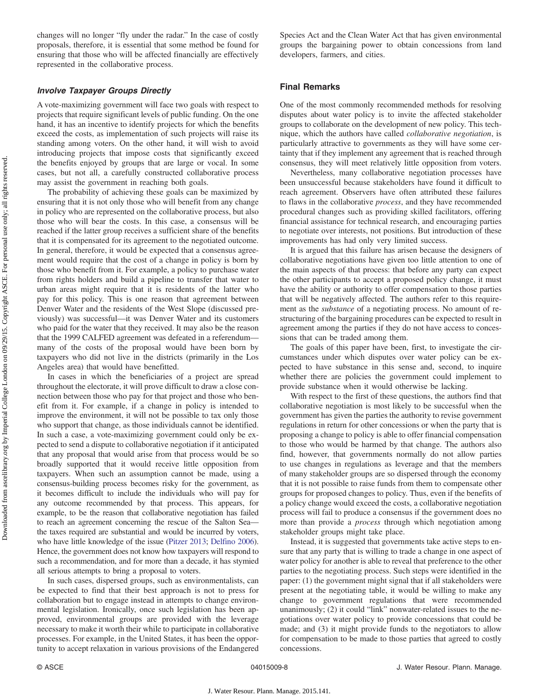changes will no longer "fly under the radar." In the case of costly proposals, therefore, it is essential that some method be found for ensuring that those who will be affected financially are effectively represented in the collaborative process.

#### Involve Taxpayer Groups Directly

A vote-maximizing government will face two goals with respect to projects that require significant levels of public funding. On the one hand, it has an incentive to identify projects for which the benefits exceed the costs, as implementation of such projects will raise its standing among voters. On the other hand, it will wish to avoid introducing projects that impose costs that significantly exceed the benefits enjoyed by groups that are large or vocal. In some cases, but not all, a carefully constructed collaborative process may assist the government in reaching both goals.

The probability of achieving these goals can be maximized by ensuring that it is not only those who will benefit from any change in policy who are represented on the collaborative process, but also those who will bear the costs. In this case, a consensus will be reached if the latter group receives a sufficient share of the benefits that it is compensated for its agreement to the negotiated outcome. In general, therefore, it would be expected that a consensus agreement would require that the cost of a change in policy is born by those who benefit from it. For example, a policy to purchase water from rights holders and build a pipeline to transfer that water to urban areas might require that it is residents of the latter who pay for this policy. This is one reason that agreement between Denver Water and the residents of the West Slope (discussed previously) was successful—it was Denver Water and its customers who paid for the water that they received. It may also be the reason that the 1999 CALFED agreement was defeated in a referendum many of the costs of the proposal would have been born by taxpayers who did not live in the districts (primarily in the Los Angeles area) that would have benefitted.

In cases in which the beneficiaries of a project are spread throughout the electorate, it will prove difficult to draw a close connection between those who pay for that project and those who benefit from it. For example, if a change in policy is intended to improve the environment, it will not be possible to tax only those who support that change, as those individuals cannot be identified. In such a case, a vote-maximizing government could only be expected to send a dispute to collaborative negotiation if it anticipated that any proposal that would arise from that process would be so broadly supported that it would receive little opposition from taxpayers. When such an assumption cannot be made, using a consensus-building process becomes risky for the government, as it becomes difficult to include the individuals who will pay for any outcome recommended by that process. This appears, for example, to be the reason that collaborative negotiation has failed to reach an agreement concerning the rescue of the Salton Sea the taxes required are substantial and would be incurred by voters, who have little knowledge of the issue ([Pitzer 2013](#page-9-9); [Delfino 2006\)](#page-8-39). Hence, the government does not know how taxpayers will respond to such a recommendation, and for more than a decade, it has stymied all serious attempts to bring a proposal to voters.

In such cases, dispersed groups, such as environmentalists, can be expected to find that their best approach is not to press for collaboration but to engage instead in attempts to change environmental legislation. Ironically, once such legislation has been approved, environmental groups are provided with the leverage necessary to make it worth their while to participate in collaborative processes. For example, in the United States, it has been the opportunity to accept relaxation in various provisions of the Endangered Species Act and the Clean Water Act that has given environmental groups the bargaining power to obtain concessions from land developers, farmers, and cities.

# Final Remarks

One of the most commonly recommended methods for resolving disputes about water policy is to invite the affected stakeholder groups to collaborate on the development of new policy. This technique, which the authors have called collaborative negotiation, is particularly attractive to governments as they will have some certainty that if they implement any agreement that is reached through consensus, they will meet relatively little opposition from voters.

Nevertheless, many collaborative negotiation processes have been unsuccessful because stakeholders have found it difficult to reach agreement. Observers have often attributed these failures to flaws in the collaborative process, and they have recommended procedural changes such as providing skilled facilitators, offering financial assistance for technical research, and encouraging parties to negotiate over interests, not positions. But introduction of these improvements has had only very limited success.

It is argued that this failure has arisen because the designers of collaborative negotiations have given too little attention to one of the main aspects of that process: that before any party can expect the other participants to accept a proposed policy change, it must have the ability or authority to offer compensation to those parties that will be negatively affected. The authors refer to this requirement as the substance of a negotiating process. No amount of restructuring of the bargaining procedures can be expected to result in agreement among the parties if they do not have access to concessions that can be traded among them.

The goals of this paper have been, first, to investigate the circumstances under which disputes over water policy can be expected to have substance in this sense and, second, to inquire whether there are policies the government could implement to provide substance when it would otherwise be lacking.

With respect to the first of these questions, the authors find that collaborative negotiation is most likely to be successful when the government has given the parties the authority to revise government regulations in return for other concessions or when the party that is proposing a change to policy is able to offer financial compensation to those who would be harmed by that change. The authors also find, however, that governments normally do not allow parties to use changes in regulations as leverage and that the members of many stakeholder groups are so dispersed through the economy that it is not possible to raise funds from them to compensate other groups for proposed changes to policy. Thus, even if the benefits of a policy change would exceed the costs, a collaborative negotiation process will fail to produce a consensus if the government does no more than provide a *process* through which negotiation among stakeholder groups might take place.

Instead, it is suggested that governments take active steps to ensure that any party that is willing to trade a change in one aspect of water policy for another is able to reveal that preference to the other parties to the negotiating process. Such steps were identified in the paper: (1) the government might signal that if all stakeholders were present at the negotiating table, it would be willing to make any change to government regulations that were recommended unanimously; (2) it could "link" nonwater-related issues to the negotiations over water policy to provide concessions that could be made; and (3) it might provide funds to the negotiators to allow for compensation to be made to those parties that agreed to costly concessions.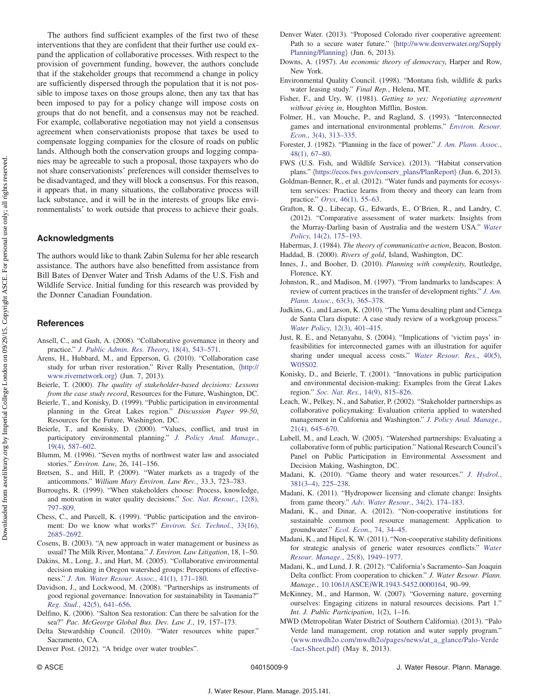The authors find sufficient examples of the first two of these interventions that they are confident that their further use could expand the application of collaborative processes. With respect to the provision of government funding, however, the authors conclude that if the stakeholder groups that recommend a change in policy are sufficiently dispersed through the population that it is not possible to impose taxes on those groups alone, then any tax that has been imposed to pay for a policy change will impose costs on groups that do not benefit, and a consensus may not be reached. For example, collaborative negotiation may not yield a consensus agreement when conservationists propose that taxes be used to compensate logging companies for the closure of roads on public lands. Although both the conservation groups and logging companies may be agreeable to such a proposal, those taxpayers who do not share conservationists' preferences will consider themselves to be disadvantaged, and they will block a consensus. For this reason, it appears that, in many situations, the collaborative process will lack substance, and it will be in the interests of groups like environmentalists' to work outside that process to achieve their goals.

# Acknowledgments

The authors would like to thank Zabin Sulema for her able research assistance. The authors have also benefitted from assistance from Bill Bates of Denver Water and Trish Adams of the U.S. Fish and Wildlife Service. Initial funding for this research was provided by the Donner Canadian Foundation.

#### **References**

- <span id="page-8-8"></span>Ansell, C., and Gash, A. (2008). "Collaborative governance in theory and practice." [J. Public Admin. Res. Theory](http://dx.doi.org/10.1093/jopart/mum032), 18(4), 543–571.
- <span id="page-8-38"></span>Arens, H., Hubbard, M., and Epperson, G. (2010). "Collaboration case study for urban river restoration." River Rally Presentation, 〈[http://](http://www.rivernetwork.org) [www.rivernetwork.org](http://www.rivernetwork.org)〉 (Jun. 7, 2013).
- <span id="page-8-9"></span>Beierle, T. (2000). The quality of stakeholder-based decisions: Lessons from the case study record, Resources for the Future, Washington, DC.
- <span id="page-8-2"></span>Beierle, T., and Konisky, D. (1999). "Public participation in environmental planning in the Great Lakes region." Discussion Paper 99-50, Resources for the Future, Washington, DC.
- <span id="page-8-17"></span>Beierle, T., and Konisky, D. (2000). "Values, conflict, and trust in participatory environmental planning." [J. Policy Anal. Manage.](http://dx.doi.org/10.1002/(ISSN)1520-6688), [19\(4\), 587](http://dx.doi.org/10.1002/(ISSN)1520-6688)–602.
- <span id="page-8-31"></span>Blumm, M. (1996). "Seven myths of northwest water law and associated stories." Environ. Law, 26, 141–156.
- <span id="page-8-32"></span>Bretsen, S., and Hill, P. (2009). "Water markets as a tragedy of the anticommons." William Mary Environ. Law Rev., 33.3, 723–783.
- <span id="page-8-5"></span>Burroughs, R. (1999). "When stakeholders choose: Process, knowledge, and motivation in water quality decisions." [Soc. Nat. Resour.](http://dx.doi.org/10.1080/089419299279326), 12(8), 797–[809.](http://dx.doi.org/10.1080/089419299279326)
- <span id="page-8-12"></span>Chess, C., and Purcell, K. (1999). "Public participation and the environ-ment: Do we know what works?" [Environ. Sci. Technol.](http://dx.doi.org/10.1021/es980500g), 33(16), [2685](http://dx.doi.org/10.1021/es980500g)–2692.
- <span id="page-8-6"></span>Cosens, B. (2003). "A new approach in water management or business as usual? The Milk River, Montana." J. Environ. Law Litigation, 18, 1-50.
- <span id="page-8-10"></span>Dakins, M., Long, J., and Hart, M. (2005). "Collaborative environmental decision making in Oregon watershed groups: Perceptions of effectiveness." [J. Am. Water Resour. Assoc.](http://dx.doi.org/10.1111/jawr.2005.41.issue-1), 41(1), 171–180.
- <span id="page-8-18"></span>Davidson, J., and Lockwood, M. (2008). "Partnerships as instruments of good regional governance: Innovation for sustainability in Tasmania?" Reg. Stud.[, 42\(5\), 641](http://dx.doi.org/10.1080/00343400701543165)–656.
- <span id="page-8-39"></span>Delfino, K. (2006). "Salton Sea restoration: Can there be salvation for the sea?" Pac. McGeorge Global Bus. Dev. Law J., 19, 157–173.
- <span id="page-8-24"></span>Delta Stewardship Council. (2010). "Water resources white paper." Sacramento, CA.
- <span id="page-8-21"></span>Denver Post. (2012). "A bridge over water troubles".
- <span id="page-8-3"></span>Denver Water. (2013). "Proposed Colorado river cooperative agreement: Path to a secure water future." 〈[http://www.denverwater.org/Supply](http://www.denverwater.org/SupplyPlanning/Planning) [Planning/Planning](http://www.denverwater.org/SupplyPlanning/Planning)〉 (Jun. 6, 2013).
- <span id="page-8-20"></span>Downs, A. (1957). An economic theory of democracy, Harper and Row, New York.
- <span id="page-8-27"></span>Environmental Quality Council. (1998). "Montana fish, wildlife & parks water leasing study." Final Rep., Helena, MT.
- <span id="page-8-19"></span>Fisher, F., and Ury, W. (1981). Getting to yes: Negotiating agreement without giving in, Houghton Mifflin, Boston.
- <span id="page-8-35"></span>Folmer, H., van Mouche, P., and Ragland, S. (1993). "Interconnected games and international environmental problems." [Environ. Resour.](http://dx.doi.org/10.1007/BF00418815) Econ.[, 3\(4\), 313](http://dx.doi.org/10.1007/BF00418815)–335.
- <span id="page-8-11"></span>Forester, J. (1982). "Planning in the face of power." [J. Am. Plann. Assoc.](http://dx.doi.org/10.1080/01944368208976167), [48\(1\), 67](http://dx.doi.org/10.1080/01944368208976167)–80.
- <span id="page-8-1"></span>FWS (U.S. Fish, and Wildlife Service). (2013). "Habitat conservation plans." 〈[https://ecos.fws.gov/conserv\\_plans/PlanReport](https://ecos.fws.gov/conserv_plans/PlanReport)〉 (Jun. 6, 2013).
- <span id="page-8-23"></span>Goldman-Benner, R., et al. (2012). "Water funds and payments for ecosystem services: Practice learns from theory and theory can learn from practice." *Oryx*[, 46\(1\), 55](http://dx.doi.org/10.1017/S0030605311001050)–63.
- <span id="page-8-26"></span>Grafton, R. Q., Libecap, G., Edwards, E., O'Brien, R., and Landry, C. (2012). "Comparative assessment of water markets: Insights from the Murray-Darling basin of Australia and the western USA." [Water](http://dx.doi.org/10.2166/wp.2011.016) Policy[, 14\(2\), 175](http://dx.doi.org/10.2166/wp.2011.016)–193.

<span id="page-8-15"></span><span id="page-8-14"></span><span id="page-8-4"></span>Habermas, J. (1984). The theory of communicative action, Beacon, Boston. Haddad, B. (2000). Rivers of gold, Island, Washington, DC.

- <span id="page-8-34"></span>Innes, J., and Booher, D. (2010). Planning with complexity, Routledge, Florence, KY.
- <span id="page-8-16"></span>Johnston, R., and Madison, M. (1997). "From landmarks to landscapes: A review of current practices in the transfer of development rights." [J. Am.](http://dx.doi.org/10.1080/01944369708975929) [Plann. Assoc.](http://dx.doi.org/10.1080/01944369708975929), 63(3), 365–378.
- <span id="page-8-30"></span>Judkins, G., and Larson, K. (2010). "The Yuma desalting plant and Cienega de Santa Clara dispute: A case study review of a workgroup process." [Water Policy](http://dx.doi.org/10.2166/wp.2009.084), 12(3), 401–415.
- Just, R. E., and Netanyahu, S. (2004). "Implications of 'victim pays' infeasibilities for interconnected games with an illustration for aquifer sharing under unequal access costs." [Water Resour. Res.](http://dx.doi.org/10.1029/2003WR002528), 40(5), [W05S02.](http://dx.doi.org/10.1029/2003WR002528)
- <span id="page-8-37"></span><span id="page-8-0"></span>Konisky, D., and Beierle, T. (2001). "Innovations in public participation and environmental decision-making: Examples from the Great Lakes region." [Soc. Nat. Res.](http://dx.doi.org/10.1080/089419201753210620), 14(9), 815–826.
- <span id="page-8-36"></span>Leach, W., Pelkey, N., and Sabatier, P. (2002). "Stakeholder partnerships as collaborative policymaking: Evaluation criteria applied to watershed management in California and Washington." [J. Policy Anal. Manage.](http://dx.doi.org/10.1002/(ISSN)1520-6688), [21\(4\), 645](http://dx.doi.org/10.1002/(ISSN)1520-6688)–670.
- <span id="page-8-29"></span>Lubell, M., and Leach, W. (2005). "Watershed partnerships: Evaluating a collaborative form of public participation." National Research Council's Panel on Public Participation in Environmental Assessment and Decision Making, Washington, DC.
- <span id="page-8-22"></span>Madani, K. (2010). "Game theory and water resources." [J. Hydrol.](http://dx.doi.org/10.1016/j.jhydrol.2009.11.045), 381(3–[4\), 225](http://dx.doi.org/10.1016/j.jhydrol.2009.11.045)–238.
- <span id="page-8-28"></span>Madani, K. (2011). "Hydropower licensing and climate change: Insights from game theory." [Adv. Water Resour.](http://dx.doi.org/10.1016/j.advwatres.2010.10.003), 34(2), 174-183.
- <span id="page-8-33"></span>Madani, K., and Dinar, A. (2012). "Non-cooperative institutions for sustainable common pool resource management: Application to groundwater." [Ecol. Econ.](http://dx.doi.org/10.1016/j.ecolecon.2011.12.006), 74, 34–45.
- <span id="page-8-7"></span>Madani, K., and Hipel, K. W. (2011). "Non-cooperative stability definitions for strategic analysis of generic water resources conflicts." [Water](http://dx.doi.org/10.1007/s11269-011-9783-4) [Resour. Manage.](http://dx.doi.org/10.1007/s11269-011-9783-4), 25(8), 1949–1977.
- <span id="page-8-13"></span>Madani, K., and Lund, J. R. (2012). "California's Sacramento–San Joaquin Delta conflict: From cooperation to chicken." J. Water Resour. Plann. Manage., [10.1061/\(ASCE\)WR.1943-5452.0000164](http://dx.doi.org/10.1061/(ASCE)WR.1943-5452.0000164), 90–99.
- <span id="page-8-25"></span>McKinney, M., and Harmon, W. (2007). "Governing nature, governing ourselves: Engaging citizens in natural resources decisions. Part 1.' Int. J. Public Participation, 1(2), 1–16.
- MWD (Metropolitan Water District of Southern California). (2013). "Palo Verde land management, crop rotation and water supply program." 〈[www.mwdh2o.com/mwdh2o/pages/news/at\\_a\\_glance/Palo-Verde](www.mwdh2o.com/mwdh2o/pages/news/at_a_glance/Palo-Verde-fact-Sheet.pdf) [-fact-Sheet.pdf](www.mwdh2o.com/mwdh2o/pages/news/at_a_glance/Palo-Verde-fact-Sheet.pdf)〉 (May 8, 2013).

J. Water Resour. Plann. Manage. 2015.141.